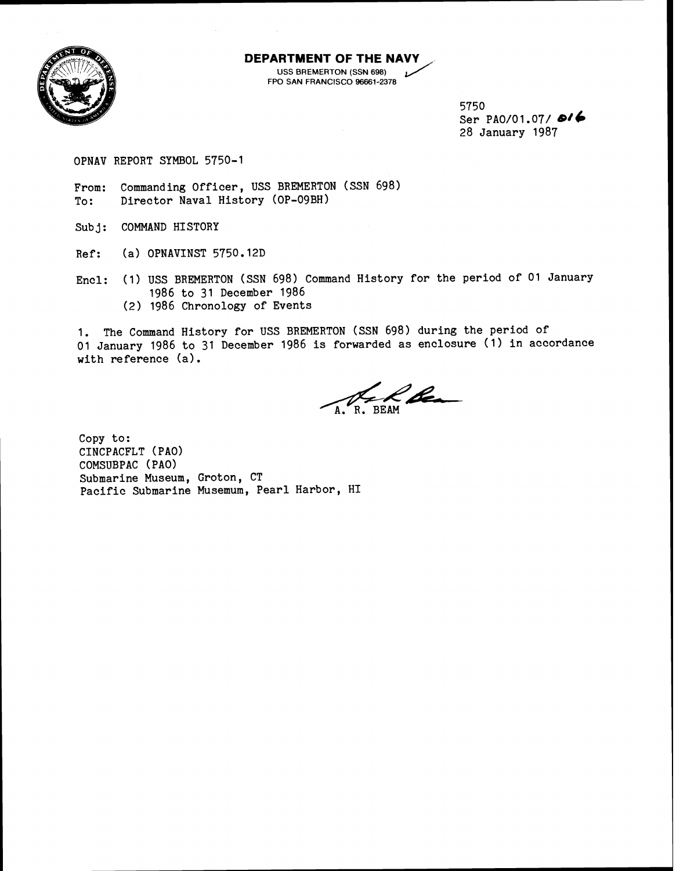

# **DEPARTMENT OF THE NAVY**<br>SIDED USS BREMERTON (SSN 698) **THENT OF THE NAVY**<br>USS BREMERTON (SSN 698)<br>
D SAN FRANCISCO 96661-2378

FPO SAN FRANCISCO 96661-2378

5750 Ser PA0/01.07/ **6/6** 28 January 1987

OPNAV REPORT SYMBOL 5750-1

From: Commanding Officer, USS BREMERTON (SSN 698)<br>To: Director Naval History (OP-09BH) Director Naval History (OP-09BH)

Sub **j:** COMMAND HISTORY

Ref: (a) OPNAVINST 5750.12D

Encl: (1) USS BREMERTON (SSN 698) Command History for the period of 01 January 1986 to 31 December 1986

(2) 1986 Chronology of Events

1. The Command History for USS BREMERTON (SSM 698) during the period of 01 January 1986 to 31 December 1986 is forwarded as enclosure (1) in accordance with reference (a).

l bez

Copy to: CINCPACFLT (PAO) COMSUBPAC ( PAO) Submarine Museum, Groton, CT Pacific Submarine Musemum, Pearl Harbor, HI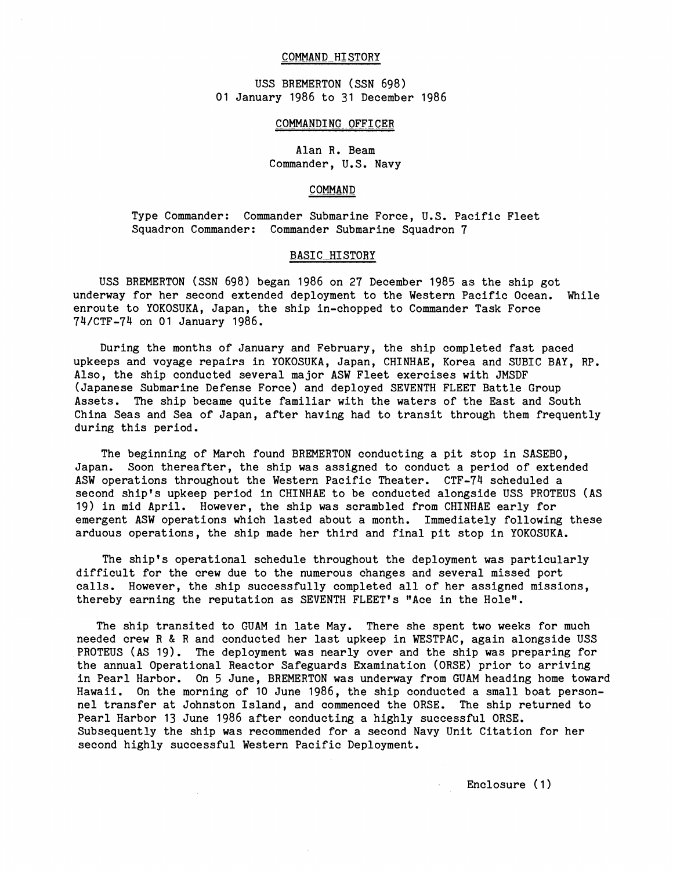#### COMMAND HISTORY

USS BREMERTON (SSN 698) 01 January 1986 to 31 December 1986

#### COMMANDING OFFICER

Alan R. Beam Commander, U.S. Navy

## COMMAND

Type Commander: Commander Submarine Force, U.S. Pacific Fleet Squadron Commander: Commander Submarine Squadron 7

## **BASIC HISTORY**

USS BREMERTON (SSN 698) began 1986 on 27 December 1985 as the ship got underway for her second extended deployment to the Western Pacific Ocean. While enroute to YOKOSUKA, Japan, the ship in-chopped to Commander Task Force 74/CTF-74 on 01 January 1986.

During the months of January and February, the ship completed fast paced upkeeps and voyage repairs in YOKOSUKA, Japan, CHINHAE, Korea and SUBIC BAY, RP. Also, the ship conducted several major ASW Fleet exercises with JMSDF (Japanese Submarine Defense Force) and deployed SEVENTH FLEET Battle Group Assets. The ship became quite familiar with the waters of the East and South China Seas and Sea of Japan, after having had to transit through them frequently during this period.

The beginning of March found BREMERTON conducting a pit stop in SASEBO, Japan. Soon thereafter, the ship was assigned to conduct a period of extended ASW operations throughout the Western Pacific Theater. CTF-74 scheduled a second ship's upkeep period in CHINHAE to be conducted alongside USS PROTEUS (AS 19) in mid April. However, the ship was scrambled from CHINHAE early for emergent ASW operations which lasted about a month. Immediately following these arduous operations, the ship made her third and final pit stop in YOKOSUKA.

The ship's operational schedule throughout the deployment was particularly difficult for the crew due to the numerous changes and several missed port calls. However, the ship successfully completed all of her assigned missions, thereby earning the reputation as SEVENTH FLEET'S "Ace in the Holew.

The ship transited to GUAM in late May. There she spent two weeks for much needed crew R & R and conducted her last upkeep in WESTPAC, again alongside USS PROTEUS (AS 19). The deployment was nearly over and the ship was preparing for the annual Operational Reactor Safeguards Examination (ORSE) prior to arriving in Pearl Harbor. On 5 June, BREMERTON was underway from GUAM heading home toward Hawaii. On the morning of 10 June 1986, the ship conducted a small boat personnel transfer at Johnston Island, and commenced the ORSE. The ship returned to Pearl Harbor 13 June 1986 after conducting a highly successful ORSE. Subsequently the ship was recommended for a second Navy Unit Citation for her second highly successful Western Pacific Deployment.

Enclosure (1)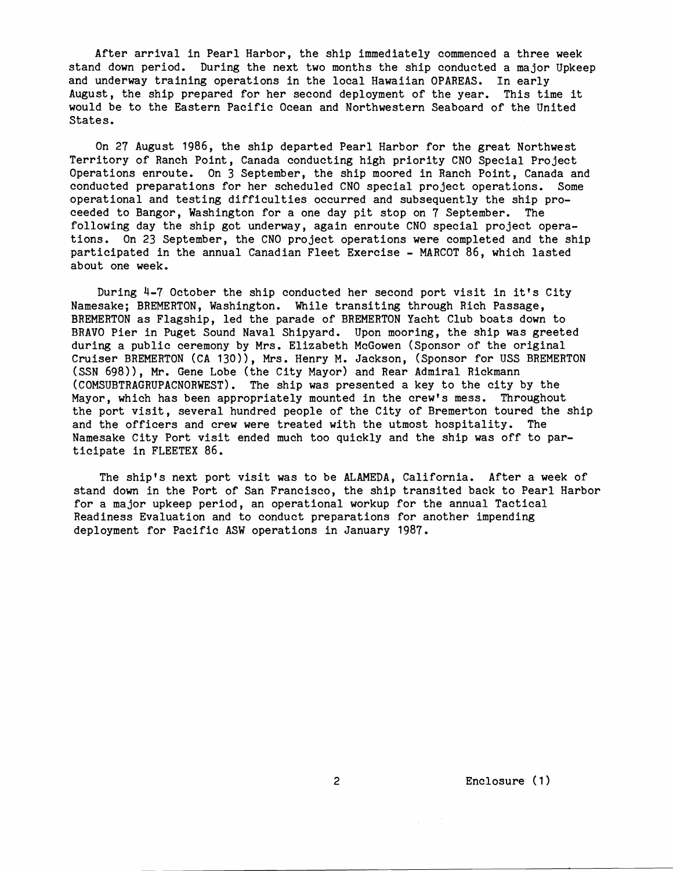After arrival in Pearl Harbor, the ship immediately commenced a three week stand down period. During the next two months the ship conducted a major Upkeep and underway training operations in the local Hawaiian OPAREAS. In early August, the ship prepared for her second deployment of the year. This time it would be to the Eastern Pacific Ocean and Northwestern Seaboard of the United States.

On 27 August 1986, the ship departed Pearl Harbor for the great Northwest Territory of Ranch Point, Canada conducting high priority CNO Special Project Operations enroute. On 3 September, the ship moored in Ranch Point, Canada and conducted preparations for her scheduled CNO special project operations. Some operational and testing difficulties occurred and subsequently the ship proceeded to Bangor, Washington for a one day pit stop on **7** September. The following day the ship got underway, again enroute CNO special project operations. On 23 September, the CNO project operations were completed and the ship participated in the annual Canadian Fleet Exercise - MARCOT 86, which lasted about one week.

During 4-7 October the ship conducted her second port visit in it's City Namesake; BREMERTON, Washington. While transiting through Rich Passage, BREMERTON as Flagship, led the parade of BREMERTON Yacht Club boats down to BRAVO Pier in Puget Sound Naval Shipyard. Upon mooring, the ship was greeted during a public ceremony by Mrs. Elizabeth McGowen (Sponsor of the original Cruiser BREMERTON (CA 130)), Mrs. Henry M. Jackson, (Sponsor for USS BREMERTON (SSN 698)), Mr. Gene Lobe (the City Mayor) and Rear Admiral Rickmann (COMSUBTRAGRUPACNORWEST). The ship was presented a key to the city by the Mayor, which has been appropriately mounted in the crew's mess. Throughout the port visit, several hundred people of the City of Bremerton toured the ship and the officers and crew were treated with the utmost hospitality. The Namesake City Port visit ended much too quickly and the ship was off to participate in FLEETEX 86.

The ship's next port visit was to be ALAMEDA, California. After a week of stand down in the Port of San Francisco, the ship transited back to Pearl Harbor for a major upkeep period, an operational workup for the annual Tactical Readiness Evaluation and to conduct preparations for another impending deployment for Pacific ASW operations in January 1987.

Enclosure (1)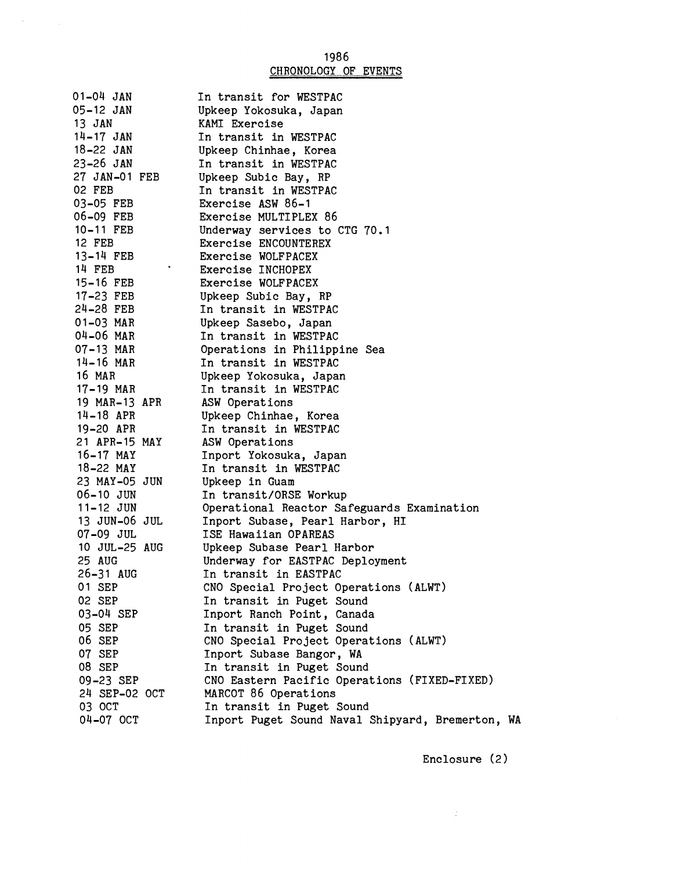# 1986<br><u>CHRONOLOGY OF EVENTS</u>

 $\label{eq:2.1} \frac{1}{\sqrt{2}}\sum_{i=1}^n\frac{1}{\sqrt{2\pi}}\sum_{i=1}^n\frac{1}{\sqrt{2\pi}}\sum_{i=1}^n\frac{1}{\sqrt{2\pi}}\sum_{i=1}^n\frac{1}{\sqrt{2\pi}}\sum_{i=1}^n\frac{1}{\sqrt{2\pi}}\sum_{i=1}^n\frac{1}{\sqrt{2\pi}}\sum_{i=1}^n\frac{1}{\sqrt{2\pi}}\sum_{i=1}^n\frac{1}{\sqrt{2\pi}}\sum_{i=1}^n\frac{1}{\sqrt{2\pi}}\sum_{i=1}^n\frac{$ 

| 01-04 JAN     | In transit for WESTPAC                           |
|---------------|--------------------------------------------------|
| 05-12 JAN     | Upkeep Yokosuka, Japan                           |
| 13 JAN        | KAMI Exercise                                    |
| $14 - 17$ JAN | In transit in WESTPAC                            |
| $18 - 22$ JAN | Upkeep Chinhae, Korea                            |
| 23-26 JAN     | In transit in WESTPAC                            |
| 27 JAN-01 FEB | Upkeep Subic Bay, RP                             |
| 02 FEB        | In transit in WESTPAC                            |
| 03-05 FEB     | Exercise ASW 86-1                                |
| 06-09 FEB     | Exercise MULTIPLEX 86                            |
| 10-11 FEB     | Underway services to CTG 70.1                    |
| 12 FEB        | Exercise ENCOUNTEREX                             |
| 13-14 FEB     | Exercise WOLFPACEX                               |
| 14 FEB        | Exercise INCHOPEX                                |
| $15 - 16$ FEB | Exercise WOLFPACEX                               |
| 17-23 FEB     | Upkeep Subic Bay, RP                             |
| $24-28$ FEB   | In transit in WESTPAC                            |
| 01-03 MAR     | Upkeep Sasebo, Japan                             |
| 04-06 MAR     | In transit in WESTPAC                            |
| 07-13 MAR     | Operations in Philippine Sea                     |
| $14 - 16$ MAR | In transit in WESTPAC                            |
| 16 MAR        | Upkeep Yokosuka, Japan                           |
| 17-19 MAR     | In transit in WESTPAC                            |
| 19 MAR-13 APR | ASW Operations                                   |
| $14 - 18$ APR | Upkeep Chinhae, Korea                            |
| 19-20 APR     | In transit in WESTPAC                            |
| 21 APR-15 MAY | ASW Operations                                   |
| $16 - 17$ MAY | Inport Yokosuka, Japan                           |
| 18-22 MAY     | In transit in WESTPAC                            |
| 23 MAY-05 JUN | Upkeep in Guam                                   |
| $06 - 10$ JUN | In transit/ORSE Workup                           |
| 11-12 JUN     | Operational Reactor Safeguards Examination       |
| 13 JUN-06 JUL | Inport Subase, Pearl Harbor, HI                  |
| 07-09 JUL     | ISE Hawaiian OPAREAS                             |
| 10 JUL-25 AUG | Upkeep Subase Pearl Harbor                       |
| 25 AUG        | Underway for EASTPAC Deployment                  |
| 26-31 AUG     | In transit in EASTPAC                            |
| 01 SEP        | CNO Special Project Operations (ALWT)            |
| 02 SEP        | In transit in Puget Sound                        |
| 03-04 SEP     | Inport Ranch Point, Canada                       |
| 05 SEP        | In transit in Puget Sound                        |
| 06 SEP        | CNO Special Project Operations (ALWT)            |
| 07 SEP        | Inport Subase Bangor, WA                         |
| 08 SEP        | In transit in Puget Sound                        |
| 09-23 SEP     | CNO Eastern Pacific Operations (FIXED-FIXED)     |
| 24 SEP-02 OCT | MARCOT 86 Operations                             |
| 03 OCT        | In transit in Puget Sound                        |
| 04-07 OCT     | Inport Puget Sound Naval Shipyard, Bremerton, WA |

Enclosure (2)

 $\mathcal{A}^{\text{max}}_{\text{max}}$